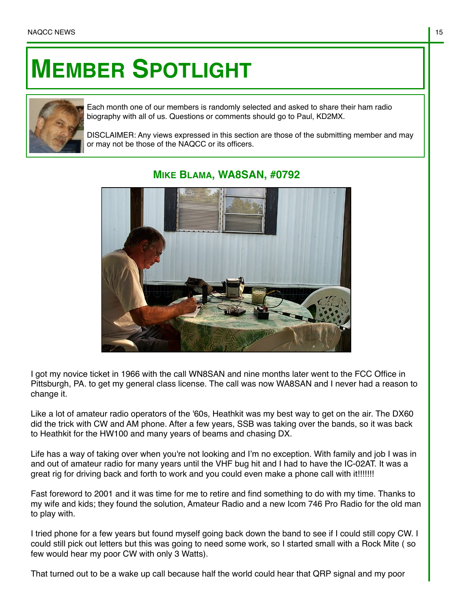## **MEMBER SPOTLIGHT**



Each month one of our members is randomly selected and asked to share their ham radio biography with all of us. Questions or comments should go to Paul, KD2MX.

DISCLAIMER: Any views expressed in this section are those of the submitting member and may or may not be those of the NAQCC or its officers.



## **MIKE BLAMA, WA8SAN, #0792**

I got my novice ticket in 1966 with the call WN8SAN and nine months later went to the FCC Office in Pittsburgh, PA. to get my general class license. The call was now WA8SAN and I never had a reason to change it.

Like a lot of amateur radio operators of the '60s, Heathkit was my best way to get on the air. The DX60 did the trick with CW and AM phone. After a few years, SSB was taking over the bands, so it was back to Heathkit for the HW100 and many years of beams and chasing DX.

Life has a way of taking over when you're not looking and I'm no exception. With family and job I was in and out of amateur radio for many years until the VHF bug hit and I had to have the IC-02AT. It was a great rig for driving back and forth to work and you could even make a phone call with it!!!!!!!!

Fast foreword to 2001 and it was time for me to retire and find something to do with my time. Thanks to my wife and kids; they found the solution, Amateur Radio and a new Icom 746 Pro Radio for the old man to play with.

I tried phone for a few years but found myself going back down the band to see if I could still copy CW. I could still pick out letters but this was going to need some work, so I started small with a Rock Mite ( so few would hear my poor CW with only 3 Watts).

That turned out to be a wake up call because half the world could hear that QRP signal and my poor